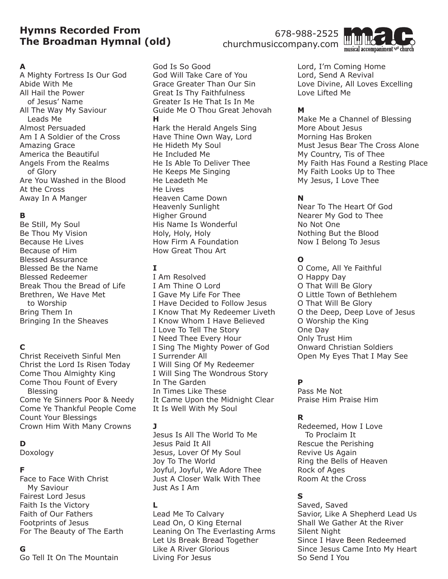# **Hymns Recorded From The Broadman Hymnal (old)**

#### **A**

A Mighty Fortress Is Our God Abide With Me All Hail the Power of Jesus' Name All The Way My Saviour Leads Me Almost Persuaded Am I A Soldier of the Cross Amazing Grace America the Beautiful Angels From the Realms of Glory Are You Washed in the Blood At the Cross Away In A Manger

#### **B**

Be Still, My Soul Be Thou My Vision Because He Lives Because of Him Blessed Assurance Blessed Be the Name Blessed Redeemer Break Thou the Bread of Life Brethren, We Have Met to Worship Bring Them In Bringing In the Sheaves

### **C**

Christ Receiveth Sinful Men Christ the Lord Is Risen Today Come Thou Almighty King Come Thou Fount of Every Blessing Come Ye Sinners Poor & Needy Come Ye Thankful People Come Count Your Blessings Crown Him With Many Crowns

### **D**

Doxology

#### **F**

Face to Face With Christ My Saviour Fairest Lord Jesus Faith Is the Victory Faith of Our Fathers Footprints of Jesus For The Beauty of The Earth

# **G**

Go Tell It On The Mountain

God Is So Good God Will Take Care of You Grace Greater Than Our Sin Great Is Thy Faithfulness Greater Is He That Is In Me Guide Me O Thou Great Jehovah **H** Hark the Herald Angels Sing Have Thine Own Way, Lord He Hideth My Soul He Included Me He Is Able To Deliver Thee He Keeps Me Singing He Leadeth Me He Lives Heaven Came Down Heavenly Sunlight Higher Ground His Name Is Wonderful Holy, Holy, Holy How Firm A Foundation How Great Thou Art

#### **I**

I Am Resolved I Am Thine O Lord I Gave My Life For Thee I Have Decided to Follow Jesus I Know That My Redeemer Liveth I Know Whom I Have Believed I Love To Tell The Story I Need Thee Every Hour I Sing The Mighty Power of God I Surrender All I Will Sing Of My Redeemer I Will Sing The Wondrous Story In The Garden In Times Like These It Came Upon the Midnight Clear It Is Well With My Soul

#### **J**

Jesus Is All The World To Me Jesus Paid It All Jesus, Lover Of My Soul Joy To The World Joyful, Joyful, We Adore Thee Just A Closer Walk With Thee Just As I Am

#### **L**

Lead Me To Calvary Lead On, O King Eternal Leaning On The Everlasting Arms Let Us Break Bread Together Like A River Glorious Living For Jesus

678-988-2525 churchmusiccompany.com



Lord, I'm Coming Home Lord, Send A Revival Love Divine, All Loves Excelling Love Lifted Me

### **M**

Make Me a Channel of Blessing More About Jesus Morning Has Broken Must Jesus Bear The Cross Alone My Country, Tis of Thee My Faith Has Found a Resting Place My Faith Looks Up to Thee My Jesus, I Love Thee

# **N**

Near To The Heart Of God Nearer My God to Thee No Not One Nothing But the Blood Now I Belong To Jesus

### **O**

O Come, All Ye Faithful O Happy Day O That Will Be Glory O Little Town of Bethlehem O That Will Be Glory O the Deep, Deep Love of Jesus O Worship the King One Day Only Trust Him Onward Christian Soldiers Open My Eyes That I May See

### **P**

Pass Me Not Praise Him Praise Him

### **R**

Redeemed, How I Love To Proclaim It Rescue the Perishing Revive Us Again Ring the Bells of Heaven Rock of Ages Room At the Cross

### **S**

Saved, Saved Savior, Like A Shepherd Lead Us Shall We Gather At the River Silent Night Since I Have Been Redeemed Since Jesus Came Into My Heart So Send I You